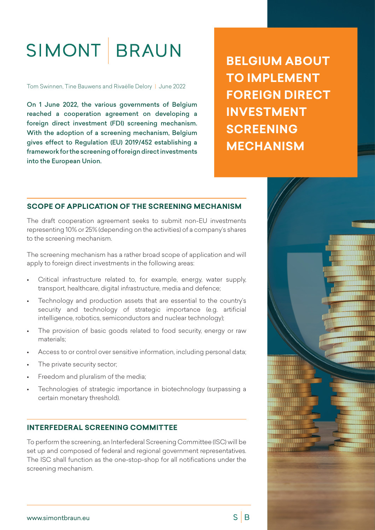# SIMONT BRAUN

Tom Swinnen, Tine Bauwens and Rivaëlle Delory | June 2022

On 1 June 2022, the various governments of Belgium reached a cooperation agreement on developing a foreign direct investment (FDI) screening mechanism. With the adoption of a screening mechanism, Belgium gives effect to Regulation (EU) 2019/452 establishing a framework for the screening of foreign direct investments into the European Union.

# **BELGIUM ABOUT TO IMPLEMENT FOREIGN DIRECT INVESTMENT SCREENING MECHANISM**

# **SCOPE OF APPLICATION OF THE SCREENING MECHANISM**

The draft cooperation agreement seeks to submit non-EU investments representing 10% or 25% (depending on the activities) of a company's shares to the screening mechanism.

The screening mechanism has a rather broad scope of application and will apply to foreign direct investments in the following areas:

- Critical infrastructure related to, for example, energy, water supply, transport, healthcare, digital infrastructure, media and defence;
- Technology and production assets that are essential to the country's security and technology of strategic importance (e.g. artificial intelligence, robotics, semiconductors and nuclear technology);
- The provision of basic goods related to food security, energy or raw materials;
- Access to or control over sensitive information, including personal data;
- The private security sector:
- Freedom and pluralism of the media;
- Technologies of strategic importance in biotechnology (surpassing a certain monetary threshold).

### **INTERFEDERAL SCREENING COMMITTEE**

To perform the screening, an Interfederal Screening Committee (ISC) will be set up and composed of federal and regional government representatives. The ISC shall function as the one-stop-shop for all notifications under the screening mechanism.



 $S \mid B$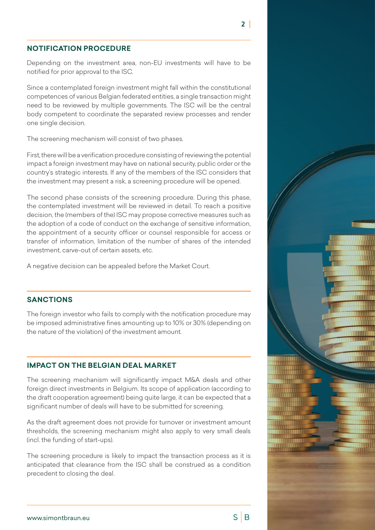#### **NOTIFICATION PROCEDURE**

Depending on the investment area, non-EU investments will have to be notified for prior approval to the ISC.

Since a contemplated foreign investment might fall within the constitutional competences of various Belgian federated entities, a single transaction might need to be reviewed by multiple governments. The ISC will be the central body competent to coordinate the separated review processes and render one single decision.

The screening mechanism will consist of two phases.

First, there will be a verification procedure consisting of reviewing the potential impact a foreign investment may have on national security, public order or the country's strategic interests. If any of the members of the ISC considers that the investment may present a risk, a screening procedure will be opened.

The second phase consists of the screening procedure. During this phase, the contemplated investment will be reviewed in detail. To reach a positive decision, the (members of the) ISC may propose corrective measures such as the adoption of a code of conduct on the exchange of sensitive information, the appointment of a security officer or counsel responsible for access or transfer of information, limitation of the number of shares of the intended investment, carve-out of certain assets, etc.

A negative decision can be appealed before the Market Court.

#### **SANCTIONS**

The foreign investor who fails to comply with the notification procedure may be imposed administrative fines amounting up to 10% or 30% (depending on the nature of the violation) of the investment amount.

#### **IMPACT ON THE BELGIAN DEAL MARKET**

The screening mechanism will significantly impact M&A deals and other foreign direct investments in Belgium. Its scope of application (according to the draft cooperation agreement) being quite large, it can be expected that a significant number of deals will have to be submitted for screening.

As the draft agreement does not provide for turnover or investment amount thresholds, the screening mechanism might also apply to very small deals (incl. the funding of start-ups).

The screening procedure is likely to impact the transaction process as it is anticipated that clearance from the ISC shall be construed as a condition precedent to closing the deal.



 $2<sup>1</sup>$